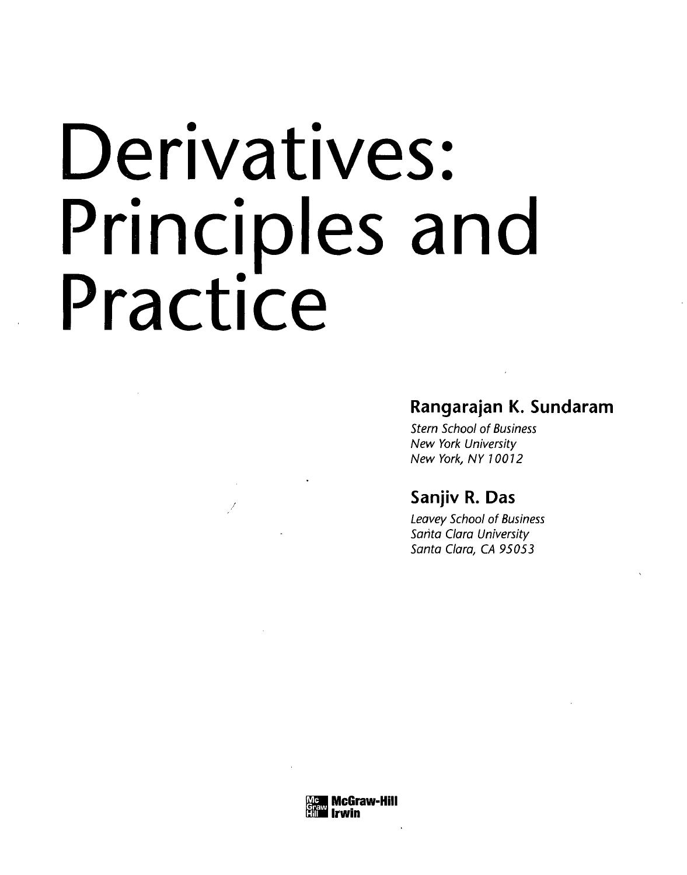# Derivatives: Principles and Practice

# **Rangarajan K. Sundaram**

Stern School of Business New York University New York, NY 10012

# **Sanjiv R. Das**

Leavey School of Business Santa Clara University Santa Clara, CA 95053

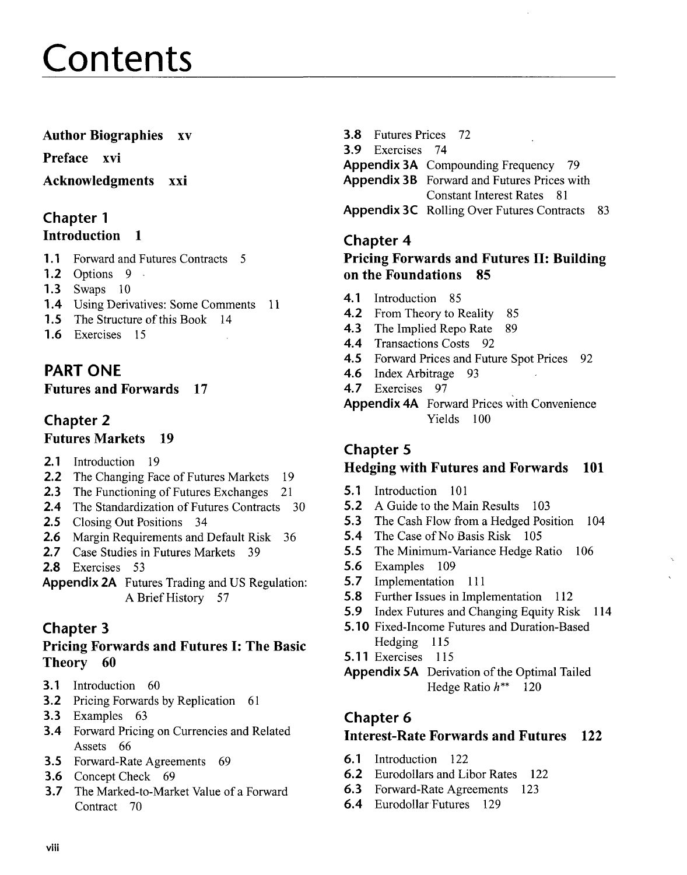# Contents

# Author Biographies xv

Preface xvi

#### Acknowledgments xxi

#### Chapter 1 Introduction 1

- 1.1 Forward and Futures Contracts 5
- 1.2 Options 9 -
- 1.3 Swaps 10
- 1.4 Using Derivatives: Some Comments 11
- **1.5** The Structure of this Book 14
- 1.6 Exercises 15

# **PART ONE**

#### Futures and Forwards 17

# Chapter 2

#### Futures Markets 19

- 2.1 Introduction 19
- 2.2 The Changing Face of Futures Markets 19
- 2.3 The Functioning of Futures Exchanges 21
- 2.4 The Standardization of Futures Contracts 30
- 2.5 Closing Out Positions 34
- 2.6 Margin Requirements and Default Risk 36<br>2.7 Case Studies in Futures Markets 39
- 2.7 Case Studies in Futures Markets 39
- 2.8 Exercises 53
- **Appendix 2A** Futures Trading and US Regulation: A Brief History 57

# Chapter 3

# Pricing Forwards and Futures I: The Basic Theory 60

- 3.1 Introduction 60
- **3.2** Pricing Forwards by Replication 61
- 3.3 Examples 63
- 3.4 Forward Pricing on Currencies and Related Assets 66
- 3.5 Forward-Rate Agreements 69
- 3.6 Concept Check 69
- 3.7 The Marked-to-Market Value of a Forward Contract 70

| <b>3.8</b> Futures Prices 72                         |  |
|------------------------------------------------------|--|
| <b>3.9</b> Exercises 74                              |  |
| <b>Appendix 3A</b> Compounding Frequency<br>-79      |  |
| <b>Appendix 3B</b> Forward and Futures Prices with   |  |
| Constant Interest Rates 81                           |  |
| <b>Appendix 3C</b> Rolling Over Futures Contracts 83 |  |
|                                                      |  |

# Chapter 4

# **Pricing Forwards and Futures II: Building on the Foundations 85**

- **4.1** Introduction 85
- 4.2 From Theory to Reality 85
- 4.3 The Implied Repo Rate 89
- 4.4 Transactions Costs 92
- 4.5 Forward Prices and Future Spot Prices 92
- 4.6 Index Arbitrage 93
- 4.7 Exercises 97

**Appendix 4A** Forward Prices with Convenience Yields 100

# Chapter 5 Hedging with Futures and Forwards 101

- **5.1** Introduction 101
- 5.2 A Guide to the Main Results 103
- 5.3 The Cash Flow from a Hedged Position 104
- 5.4 The Case of No Basis Risk 105
- **5.5** The Minimum-Variance Hedge Ratio 106
- 5.6 Examples 109
- 5.7 Implementation 111
- 5.8 Further Issues in Implementation 112
- 5.9 Index Futures and Changing Equity Risk 114
- **5.10** Fixed-Income Futures and Duration-Based Hedging 115
- **5.11** Exercises 115
- **Appendix 5A** Derivation of the Optimal Tailed Hedge Ratio *h\*\** 120

# Chapter 6

# Interest-Rate Forwards and Futures 122

- 6.1 Introduction 122
- 6.2 Eurodollars and Libor Rates 122
- 6.3 Forward-Rate Agreements 123
- 6.4 Eurodollar Futures 129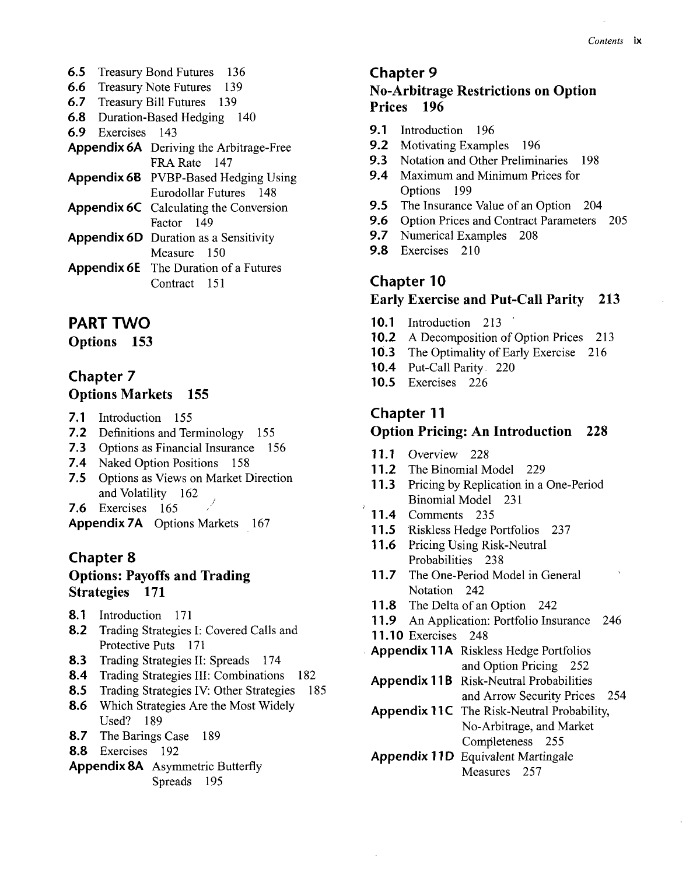- 6.5 Treasury Bond Futures 136
- 6.6 Treasury Note Futures 139
- 6.7 Treasury Bill Futures 139
- 6.8 Duration-Based Hedging 140
- 6.9 Exercises 143
- **Appendix 6A** Deriving the Arbitrage-Free FRA Rate 147
- **Appendix 6B** PVBP-Based Hedging Using Eurodollar Futures 148
- **Appendix 6C** Calculating the Conversion Factor 149
- **Appendix 6D** Duration as a Sensitivity Measure 150
- **Appendix 6E** The Duration of a Futures Contract 151

#### **PART TWO**

Options 153

#### Chapter 7 Options Markets 155

- 7.1 Introduction 155
- 7.2 Definitions and Terminology 155
- **7.3** Options as Financial Insurance 156
- **7.4** Naked Option Positions 158
- **7.5** Options as Views on Market Direction and Volatility 162
- 7.6 Exercises 165
- **Appendix 7A** Options Markets 167

#### Chapter 8 Options: Payoffs and Trading Strategies 171

- 8.1 Introduction 171
- 8.2 Trading Strategies I: Covered Calls and Protective Puts 171
- 8.3 Trading Strategies II: Spreads 174
- 8.4 Trading Strategies III: Combinations 182
- 8.5 Trading Strategies IV: Other Strategies 185 8.6 Which Strategies Are the Most Widely Used? 189
- 8.7 The Barings Case 189
- 8.8 Exercises 192
- **Appendix 8A** Asymmetric Butterfly Spreads 195

#### Chapter 9

#### No-Arbitrage Restrictions on Option Prices 196

- **9.1** Introduction 196
- 9.2 Motivating Examples 196
- **9.3** Notation and Other Preliminaries 198
- **9.4** Maximum and Minimum Prices for Options 199
- **9.5** The Insurance Value of an Option 204
- 9.6 Option Prices and Contract Parameters 205
- **9.7** Numerical Examples 208
- 9.8 Exercises 210

#### Chapter 10

#### Early Exercise and Put-Call Parity 213

- **10.1** Introduction 213
- 10.2 A Decomposition of Option Prices 213
- **10.3** The Optimality of Early Exercise 216
- **10.4** Put-Call Parity. 220
- **10.5** Exercises 226

#### Chapter 11

#### Option Pricing: An Introduction 228

- **11.1** Overview 228
- 11.2 The Binomial Model 229
- **11.3** Pricing by Replication in a One-Period Binomial Model 231
- **11.4** Comments 235
- **11.5** Riskless Hedge Portfolios 237
- **11**.6 Pricing Using Risk-Neutral Probabilities 238
- **11.7** The One-Period Model in General Notation 242
- 11.8 The Delta of an Option 242
- **11.9** An Application: Portfolio Insurance 246
- **11.10** Exercises 248
- **Appendix 11A** Riskless Hedge Portfolios and Option Pricing 252
- **Appendix 11B** Risk-Neutral Probabilities and Arrow Security Prices 254
- **Appendix 11C** The Risk-Neutral Probability, No-Arbitrage, and Market Completeness 255
- **Appendix 11D** Equivalent Martingale Measures 257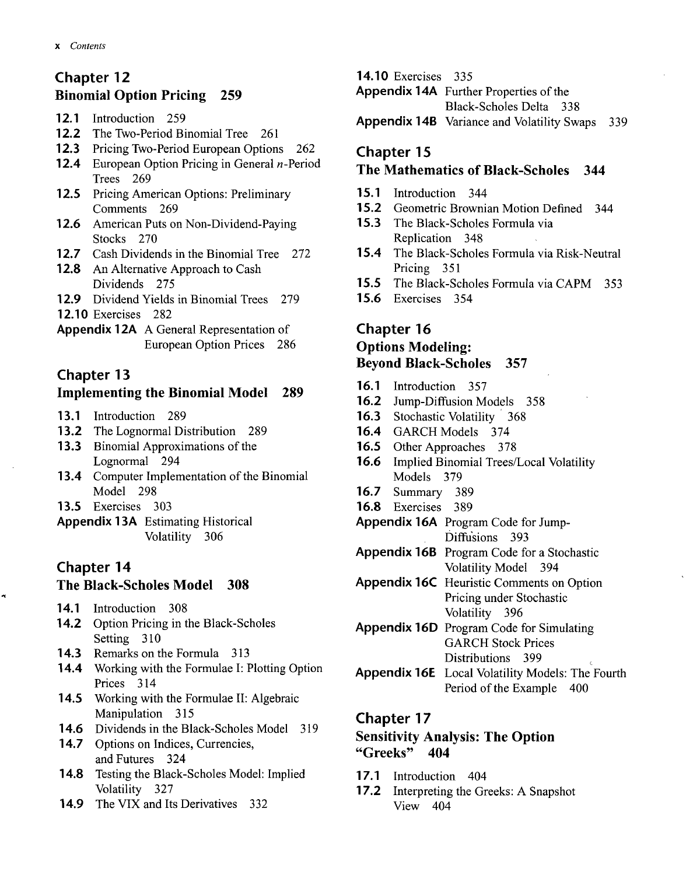# Chapter 12 Binomial Option Pricing 259

- **12.1** Introduction 259
- **12.2** The Two-Period Binomial Tree 261
- **12.3** Pricing Two-Period European Options 262
- **12.4** European Option Pricing in General *n*-Period Trees 269
- 1**2.5** Pricing American Options: Preliminary Comments 269
- 1**2.6** American Puts on Non-Dividend-Paying Stocks 270
- 1**2.7** Cash Dividends in the Binomial Tree 272
- 12.8 An Alternative Approach to Cash Dividends 275
- 1**2.9** Dividend Yields in Binomial Trees 279
- **12.10** Exercises 282
- **Appendix 12A** A General Representation of European Option Prices 286

# Chapter 13

# Implementing the Binomial Model 289

- **13.1** Introduction 289
- **13.2** The Lognormal Distribution 289
- **13.3** Binomial Approximations of the Lognormal 294
- 1**3.4** Computer Implementation of the Binomial Model 298
- **13.5** Exercises 303
- **Appendix 13A** Estimating Historical Volatility 306

# Chapter 14

#### The Black-Scholes Model 308

- **14.1** Introduction 308
- 1**4.2** Option Pricing in the Black-Scholes Setting 310
- **14.3** Remarks on the Formula 313
- **14.4** Working with the Formulae I: Plotting Option Prices 314
- 1**4.5** Working with the Formulae II: Algebraic Manipulation 315
- 1**4.6** Dividends in the Black-Scholes Model 319
- 14.7 Options on Indices, Currencies, and Futures 324
- **14.8** Testing the Black-Scholes Model: Implied Volatility 327
- **14.9** The VIX and Its Derivatives 332

#### **14.10** Exercises 335

**Appendix 14A** Further Properties of the

Black-Scholes Delta 338

**Appendix 14B** Variance and Volatility Swaps 339

# Chapter 15

# The Mathematics of Black-Scholes 344

- **15.1** Introduction 344
- **15.2** Geometric Brownian Motion Defined 344
- **15.3** The Black-Scholes Formula via Replication 348
- 1**5.4** The Black-Scholes Formula via Risk-Neutral Pricing 351
- **15.5** The Black-Scholes Formula via CAPM 353
- **15.6** Exercises 354

# Chapter 16

# Options Modeling: Beyond Black-Scholes 357

- **16.1** Introduction 357
- **16.2** Jump-Diffusion Models 358
- **16.3** Stochastic Volatility 368
- **16.4** GARCH Models 374
- **16.5** Other Approaches 378
- **16.6** Implied Binomial Trees/Local Volatility Models 379
- **16.7** Summary 389
- **16.8** Exercises 389
- **Appendix 16A** Program Code for Jump-Diffusions 393
- **Appendix 16B** Program Code for a Stochastic Volatility Model 394
- **Appendix 16C** Heuristic Comments on Option Pricing under Stochastic Volatility 396
- **Appendix 16D** Program Code for Simulating GARCH Stock Prices Distributions 399
- **Appendix 16E** Local Volatility Models: The Fourth Period of the Example 400

#### Chapter 17

#### Sensitivity Analysis: The Option "Greeks" 404

- **17.1** Introduction 404
- 1**7.2** Interpreting the Greeks: A Snapshot View 404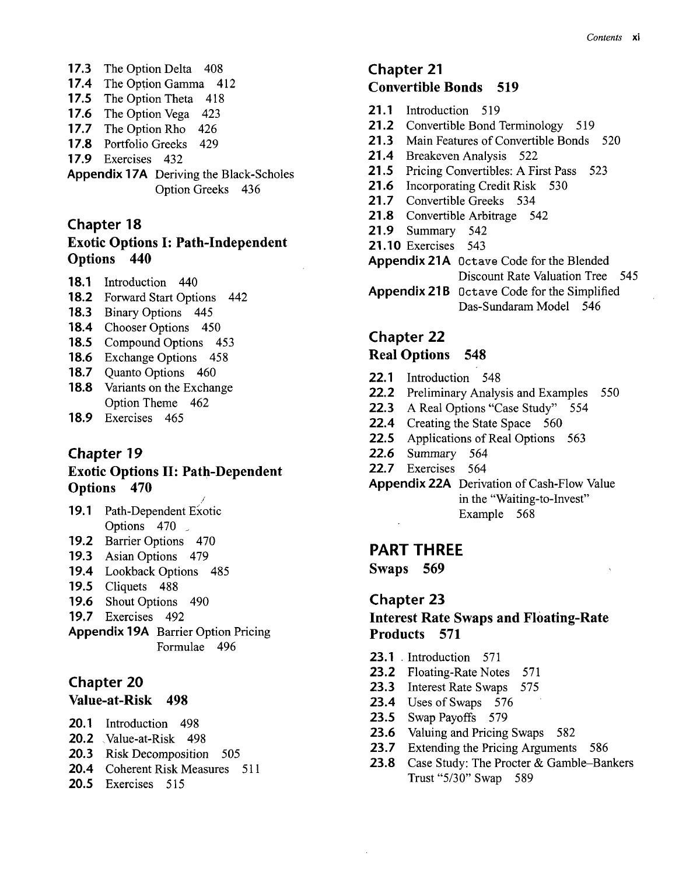- **17.3** The Option Delta 408
- 1**7.4** The Option Gamma 412
- 17.5 The Option Theta 418
- 1**7.6** The Option Vega 423
- 1*7.7* The Option Rho 426
- 1**7.8** Portfolio Greeks 429
- 1**7.9** Exercises 432
- **Appendix 17A** Deriving the Black-Scholes Option Greeks 436

#### Chapter 18 Exotic Options I: Path-Independent Options 440

- **18.1** Introduction 440
- **18.2** Forward Start Options 442
- **18.3** Binary Options 445
- **18.4** Chooser Options 450
- **18.5** Compound Options 453
- **18.6** Exchange Options 458
- 18.7 Ouanto Options 460
- 1**8.8** Variants on the Exchange Option Theme 462
- **18.9** Exercises 465

#### Chapter 19

#### Exotic Options II: Path-Dependent Options 470

- **19.1** Path-Dependent Exotic Options 470 *\_*
- **19.2** Barrier Options 470
- **19.3** Asian Options 479
- **19.4** Lookback Options 485
- **19.5** Cliquets 488
- **19.6** Shout Options 490
- **19.7** Exercises 492
- **Appendix 19A** Barrier Option Pricing Formulae 496

#### Chapter 20

#### Value-at-Risk 498

- **20.1** Introduction 498
- **20.2** Value-at-Risk 498
- **20.3** Risk Decomposition 505
- **20.4** Coherent Risk Measures 511
- **20.5** Exercises 515

# Chapter 21 Convertible Bonds 519

- **21.1** Introduction 519
- 21.2 Convertible Bond Terminology 519
- **21**.3 Main Features of Convertible Bonds 520
- **21**.4 Breakeven Analysis 522
- **21**.5 Pricing Convertibles: A First Pass 523
- **21**.6 Incorporating Credit Risk 530
- **21.7** Convertible Greeks 534
- **21**.8 Convertible Arbitrage 542
- **21**.9 Summary 542
- **21.10** Exercises 543
- **Appendix 21A** Octave Code for the Blended Discount Rate Valuation Tree 545 **Appendix 21B** Octave Code for the Simplified Das-Sundaram Model 546
- Chapter 22

#### Real Options 548

- **22.1** Introduction 548
- **22.2** Preliminary Analysis and Examples 550
- **22.3** A Real Options "Case Study" 554
- **22.4** Creating the State Space 560
- **22.5** Applications of Real Options 563
- **22.6** Summary 564
- **22.7** Exercises 564
- Appendix 22A Derivation of Cash-Flow Value in the "Waiting-to-Invest" Example 568

#### **PART THREE**

Swaps 569

#### Chapter 23

#### Interest Rate Swaps and Floating-Rate Products 571

- **23.1** Introduction 571
- **23.2** Floating-Rate Notes 571
- **23.3** Interest Rate Swaps 575
- **23.4** Uses of Swaps 576
- **23.5** Swap Payoffs 579
- **23.6** Valuing and Pricing Swaps 582
- **23.7** Extending the Pricing Arguments 586
- **23.8** Case Study: The Procter & Gamble-Bankers Trust "5/30" Swap 589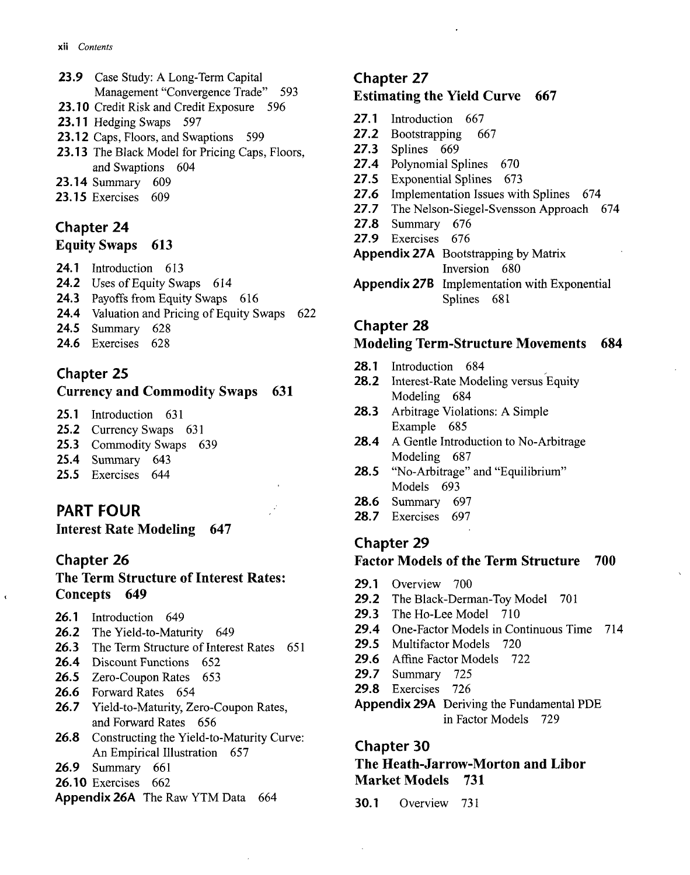- **23.9** Case Study: A Long-Term Capital Management "Convergence Trade" 593
- **23.**10 Credit Risk and Credit Exposure 596
- **23.11** Hedging Swaps 597
- 23.12 Caps, Floors, and Swaptions 599
- **23.13** The Black Model for Pricing Caps, Floors, and Swaptions 604
- **23.14** Summary 609
- **23.15** Exercises 609

# Chapter 24

#### Equity Swaps 613

- **24.1** Introduction 613
- **24.2** Uses of Equity Swaps 614
- **24.3** Payoffs from Equity Swaps 616
- **24.4** Valuation and Pricing of Equity Swaps 622
- **24.5** Summary 628
- **24.6** Exercises 628

#### Chapter 25

#### Currency and Commodity Swaps 631

- **25.1** Introduction 631
- **25.2** Currency Swaps 631
- **25.3** Commodity Swaps 639
- **25.4** Summary 643
- **25.5** Exercises 644

# **PART FOUR**

Interest Rate Modeling 647

#### Chapter 26

#### The Term Structure of Interest Rates: Concepts 649

- **26.1** Introduction 649
- **26.2** The Yield-to-Maturity 649
- **26.3** The Term Structure of Interest Rates 651
- **26.4** Discount Functions 652
- **26.5** Zero-Coupon Rates 653
- *26.6* Forward Rates 654
- 26.7 Yield-to-Maturity, Zero-Coupon Rates, and Forward Rates 656
- **26.8** Constructing the Yield-to-Maturity Curve: An Empirical Illustration 657
- **26.9** Summary 661
- **26.10** Exercises 662
- **Appendix 26A** The Raw YTM Data 664

#### Chapter 27

#### Estimating the Yield Curve 667

- **27.1** Introduction 667
- **27.2** Bootstrapping 667
- **27.3** Splines 669
- **27.4** Polynomial Splines 670
- **27.5** Exponential Splines 673
- **27.6** Implementation Issues with Splines 674
- **27.7** The Nelson-Siegel-Svensson Approach 674
- **27.8** Summary 676
- **27.9** Exercises 676
- **Appendix 27A** Bootstrapping by Matrix Inversion 680
- **Appendix 27B** Implementation with Exponential Splines 681

#### Chapter 28

#### Modeling Term-Structure Movements 684

- **28.1** Introduction 684
- **28.2** Interest-Rate Modeling versus Equity Modeling 684
- **28.3** Arbitrage Violations: A Simple Example 685
- **28.4** A Gentle Introduction to No-Arbitrage Modeling 687
- **28.5** "No-Arbitrage" and "Equilibrium" Models 693
- **28.6** Summary 697
- **28.7** Exercises 697

# Chapter 29

#### Factor Models of the Term Structure 700

- **29.1** Overview 700
- 29.2 The Black-Derman-Toy Model 701
- **29.3** The Ho-Lee Model 710
- **29.4** One-Factor Models in Continuous Time 714
- **29.5** Multifactor Models 720
- **29.6** Affine Factor Models 722
- **29.7** Summary 725
- **29.8** Exercises 726
- **Appendix 29A** Deriving the Fundamental PDE in Factor Models 729

#### Chapter 30

# The Heath-Jarrow-Morton and Libor Market Models 731

30.1 Overview 731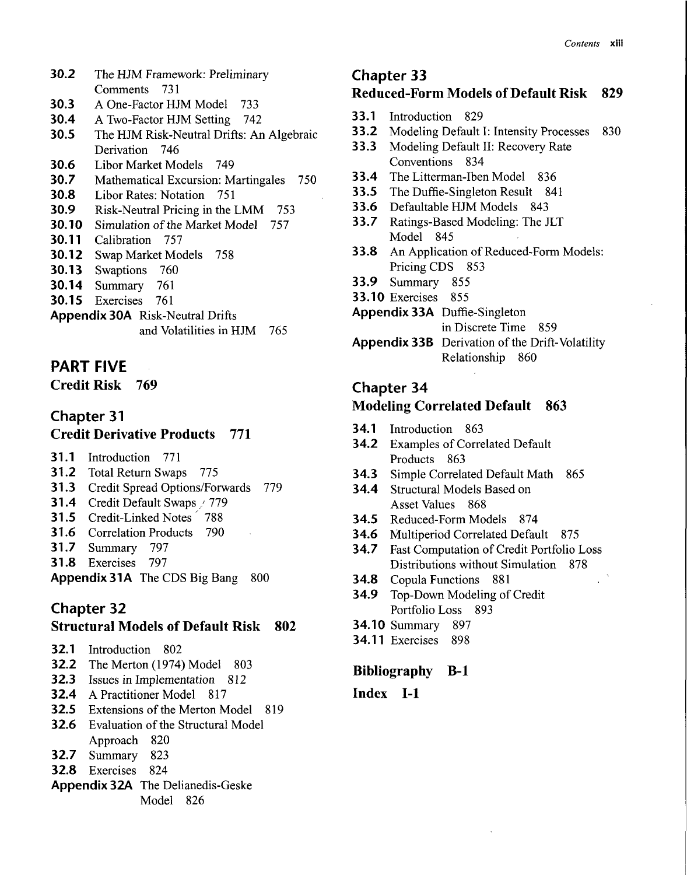- **30.2** The HJM Framework: Preliminary Comments 731
- **30.3** A One-Factor HJM Model 733
- **30.4** A Two-Factor HJM Setting 742
- **30.5** The HJM Risk-Neutral Drifts: An Algebraic Derivation 746
- **30.6** Libor Market Models 749
- **30.7** Mathematical Excursion: Martingales 750
- **30.8** Libor Rates: Notation 751
- **30.9** Risk-Neutral Pricing in the LMM 753
- **30.10** Simulation of the Market Model 757
- **30.11** Calibration 757
- **30.12** Swap Market Models 758
- **30.13** Swaptions 760
- **30.14** Summary 761
- **30.15** Exercises 761
- **Appendix 30A** Risk-Neutral Drifts and Volatilities in HJM 765

# **PART FIVE**

Credit Risk 769

# Chapter 31 Credit Derivative Products 771

- **31.1** Introduction 771
- **31.2** Total Return Swaps 775
- **31.3** Credit Spread Options/Forwards 779
- **31**.4 Credit Default Swaps / 779
- 31.5 Credit-Linked Notes *'* 788
- **31.6** Correlation Products 790
- **31.7** Summary 797
- **31.8** Exercises 797

Appendix 31A The CDS Big Bang 800

# Chapter 32

#### Structural Models of Default Risk 802

- **32.1** Introduction 802
- **32.2** The Merton (1974) Model 803
- **32.3** Issues in Implementation 812
- **32.4** A Practitioner Model 817
- **32.5** Extensions of the Merton Model 819
- **32.6** Evaluation of the Structural Model
- Approach 820
- **32.7** Summary 823
- **32.8** Exercises 824
- **Appendix 32A** The Delianedis-Geske Model 826

#### Chapter 33 Reduced-Form Models of Default Risk 829

- **33.1** Introduction 829
- **33.2** Modeling Default I: Intensity Processes *\* 830
- **33.3** Modeling Default II: Recovery Rate Conventions 834
- **33.4** The Litterman-Iben Model 836
- **33.5** The Duffie-Singleton Result 841
- **33.6** Defaultable HJM Models 843
- **33.7** Ratings-Based Modeling: The JLT Model 845
- **33.8** An Application of Reduced-Form Models: Pricing CDS 853
- **33.9** Summary 855
- **33.10** Exercises 855
- **Appendix 33A** Duffle-Singleton
	- in Discrete Time 859
- **Appendix 33B** Derivation of the Drift-Volatility Relationship 860

# Chapter 34

#### Modeling Correlated Default 863

- **34.1** Introduction 863
- **34.2** Examples of Correlated Default Products 863
- **34.3** Simple Correlated Default Math 865
- **34.4** Structural Models Based on Asset Values 868
- **34.5** Reduced-Form Models 874
- **34.6** Multiperiod Correlated Default 875
- **34.7** Fast Computation of Credit Portfolio Loss Distributions without Simulation 878
- **34.8** Copula Functions 881
- **34.9** Top-Down Modeling of Credit Portfolio Loss 893
- **34.10** Summary 897
- **34.11** Exercises 898

#### Bibliography B-l

#### Index 1-1